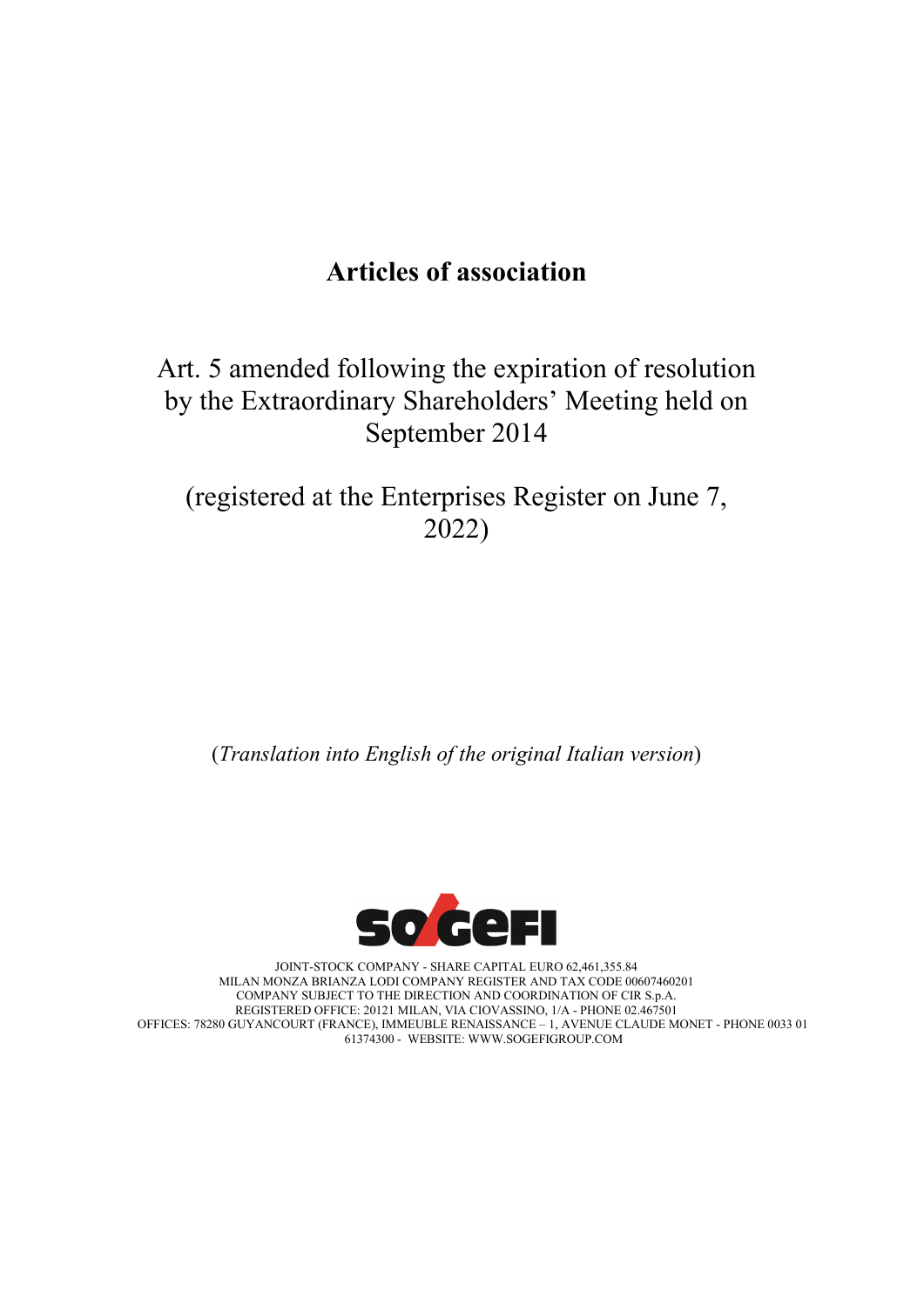# **Articles of association**

Art. 5 amended following the expiration of resolution by the Extraordinary Shareholders' Meeting held on September 2014

(registered at the Enterprises Register on June 7, 2022)

(*Translation into English of the original Italian version*)



JOINT-STOCK COMPANY - SHARE CAPITAL EURO 62,461,355.84 MILAN MONZA BRIANZA LODI COMPANY REGISTER AND TAX CODE 00607460201 COMPANY SUBJECT TO THE DIRECTION AND COORDINATION OF CIR S.p.A. REGISTERED OFFICE: 20121 MILAN, VIA CIOVASSINO, 1/A - PHONE 02.467501 OFFICES: 78280 GUYANCOURT (FRANCE), IMMEUBLE RENAISSANCE – 1, AVENUE CLAUDE MONET - PHONE 0033 01 61374300 - WEBSITE: WWW.SOGEFIGROUP.COM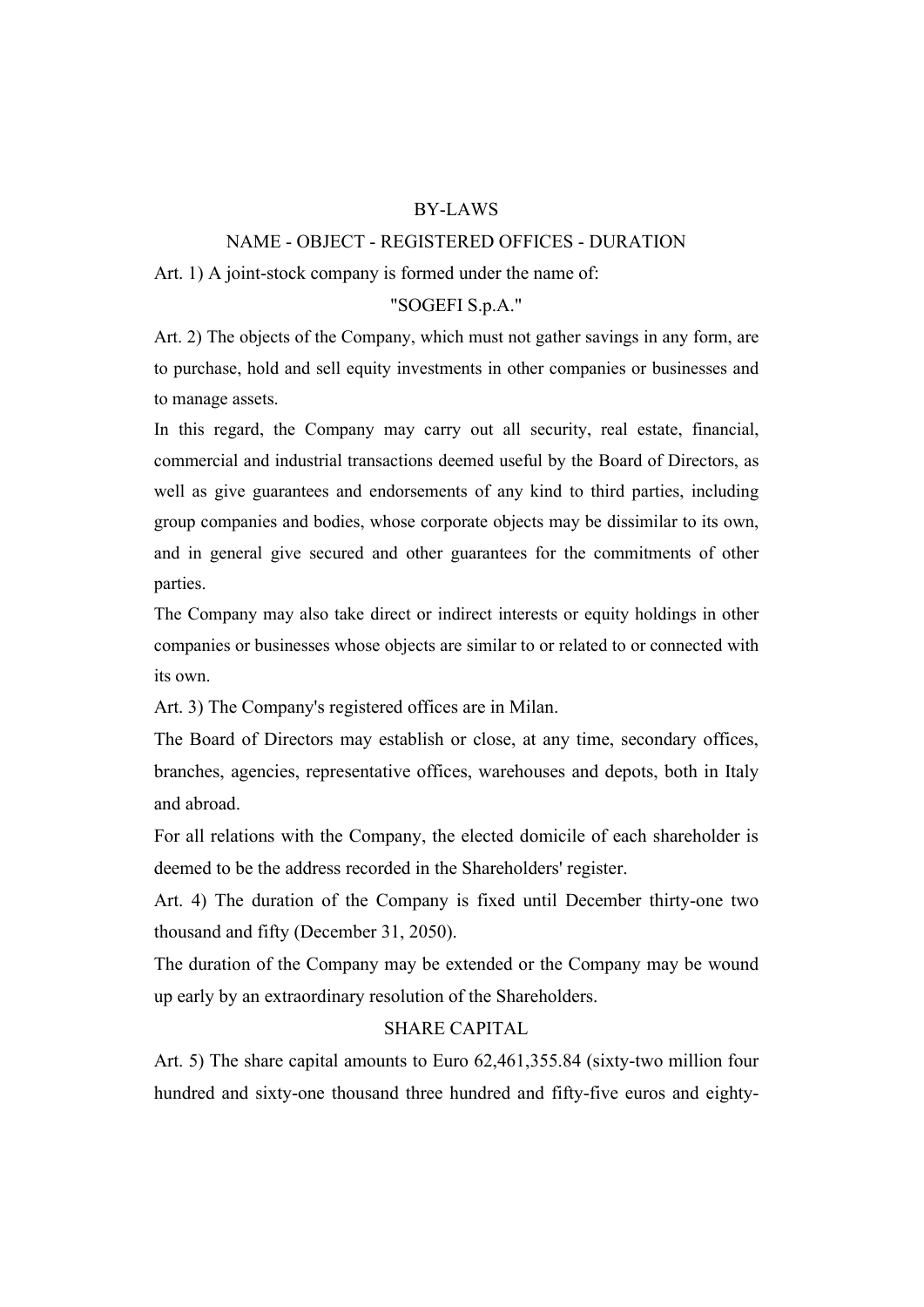#### BY-LAWS

#### NAME - OBJECT - REGISTERED OFFICES - DURATION

Art. 1) A joint-stock company is formed under the name of:

## "SOGEFI S.p.A."

Art. 2) The objects of the Company, which must not gather savings in any form, are to purchase, hold and sell equity investments in other companies or businesses and to manage assets.

In this regard, the Company may carry out all security, real estate, financial, commercial and industrial transactions deemed useful by the Board of Directors, as well as give guarantees and endorsements of any kind to third parties, including group companies and bodies, whose corporate objects may be dissimilar to its own, and in general give secured and other guarantees for the commitments of other parties.

The Company may also take direct or indirect interests or equity holdings in other companies or businesses whose objects are similar to or related to or connected with its own.

Art. 3) The Company's registered offices are in Milan.

The Board of Directors may establish or close, at any time, secondary offices, branches, agencies, representative offices, warehouses and depots, both in Italy and abroad.

For all relations with the Company, the elected domicile of each shareholder is deemed to be the address recorded in the Shareholders' register.

Art. 4) The duration of the Company is fixed until December thirty-one two thousand and fifty (December 31, 2050).

The duration of the Company may be extended or the Company may be wound up early by an extraordinary resolution of the Shareholders.

#### SHARE CAPITAL

Art. 5) The share capital amounts to Euro 62,461,355.84 (sixty-two million four hundred and sixty-one thousand three hundred and fifty-five euros and eighty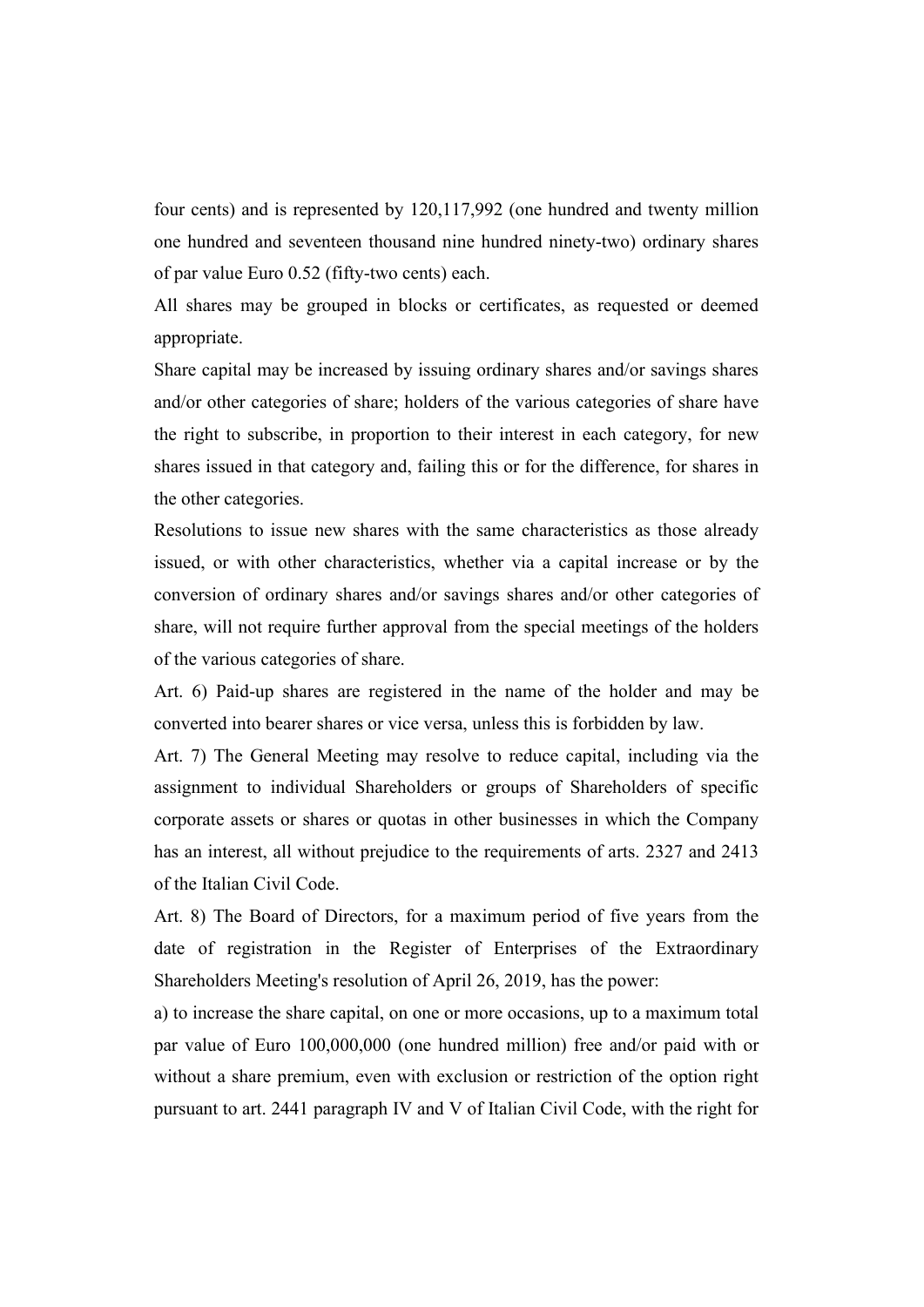four cents) and is represented by 120,117,992 (one hundred and twenty million one hundred and seventeen thousand nine hundred ninety-two) ordinary shares of par value Euro 0.52 (fifty-two cents) each.

All shares may be grouped in blocks or certificates, as requested or deemed appropriate.

Share capital may be increased by issuing ordinary shares and/or savings shares and/or other categories of share; holders of the various categories of share have the right to subscribe, in proportion to their interest in each category, for new shares issued in that category and, failing this or for the difference, for shares in the other categories.

Resolutions to issue new shares with the same characteristics as those already issued, or with other characteristics, whether via a capital increase or by the conversion of ordinary shares and/or savings shares and/or other categories of share, will not require further approval from the special meetings of the holders of the various categories of share.

Art. 6) Paid-up shares are registered in the name of the holder and may be converted into bearer shares or vice versa, unless this is forbidden by law.

Art. 7) The General Meeting may resolve to reduce capital, including via the assignment to individual Shareholders or groups of Shareholders of specific corporate assets or shares or quotas in other businesses in which the Company has an interest, all without prejudice to the requirements of arts. 2327 and 2413 of the Italian Civil Code.

Art. 8) The Board of Directors, for a maximum period of five years from the date of registration in the Register of Enterprises of the Extraordinary Shareholders Meeting's resolution of April 26, 2019, has the power:

a) to increase the share capital, on one or more occasions, up to a maximum total par value of Euro 100,000,000 (one hundred million) free and/or paid with or without a share premium, even with exclusion or restriction of the option right pursuant to art. 2441 paragraph IV and V of Italian Civil Code, with the right for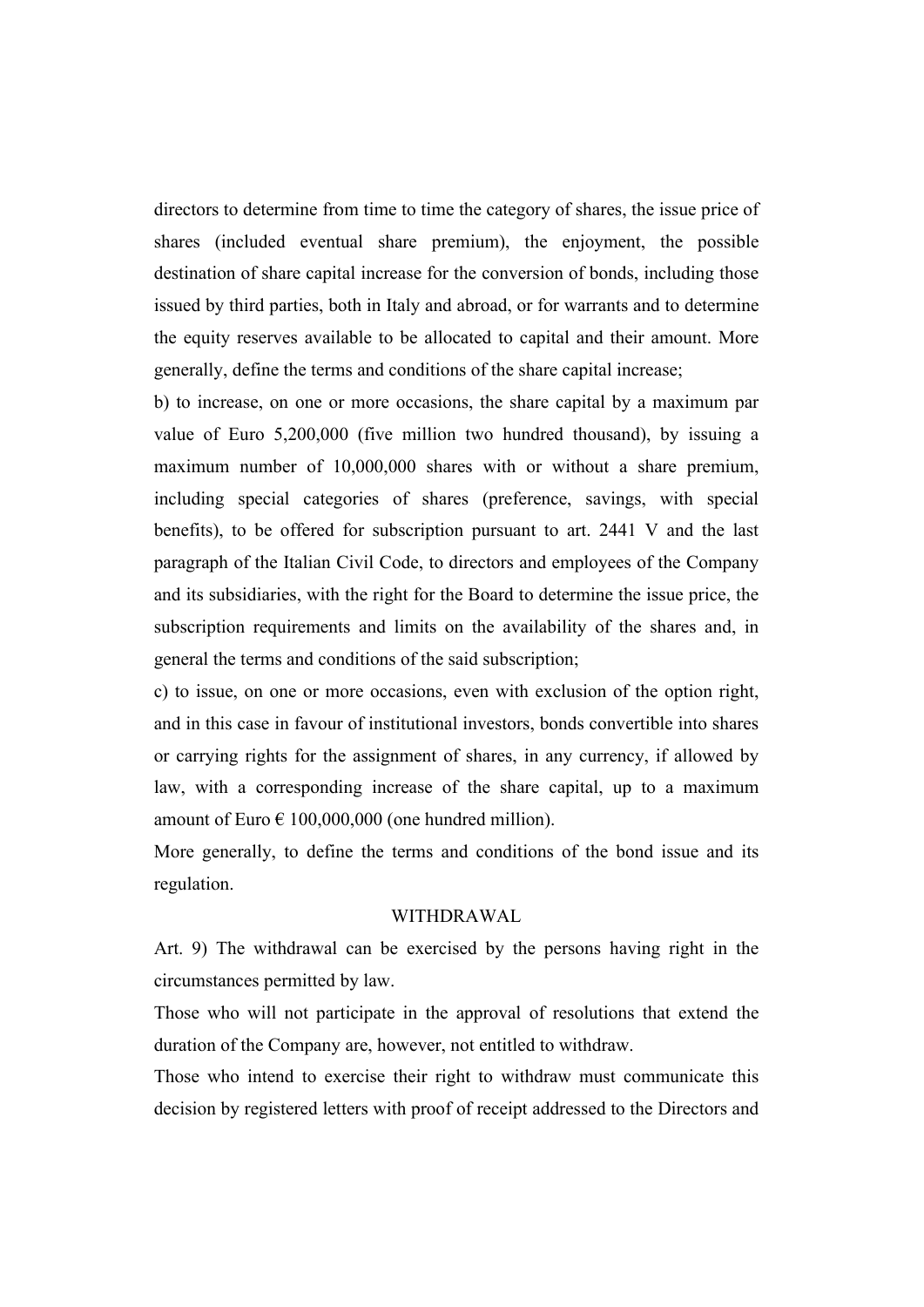directors to determine from time to time the category of shares, the issue price of shares (included eventual share premium), the enjoyment, the possible destination of share capital increase for the conversion of bonds, including those issued by third parties, both in Italy and abroad, or for warrants and to determine the equity reserves available to be allocated to capital and their amount. More generally, define the terms and conditions of the share capital increase;

b) to increase, on one or more occasions, the share capital by a maximum par value of Euro 5,200,000 (five million two hundred thousand), by issuing a maximum number of 10,000,000 shares with or without a share premium, including special categories of shares (preference, savings, with special benefits), to be offered for subscription pursuant to art. 2441 V and the last paragraph of the Italian Civil Code, to directors and employees of the Company and its subsidiaries, with the right for the Board to determine the issue price, the subscription requirements and limits on the availability of the shares and, in general the terms and conditions of the said subscription;

c) to issue, on one or more occasions, even with exclusion of the option right, and in this case in favour of institutional investors, bonds convertible into shares or carrying rights for the assignment of shares, in any currency, if allowed by law, with a corresponding increase of the share capital, up to a maximum amount of Euro  $\epsilon$  100,000,000 (one hundred million).

More generally, to define the terms and conditions of the bond issue and its regulation.

#### WITHDRAWAL

Art. 9) The withdrawal can be exercised by the persons having right in the circumstances permitted by law.

Those who will not participate in the approval of resolutions that extend the duration of the Company are, however, not entitled to withdraw.

Those who intend to exercise their right to withdraw must communicate this decision by registered letters with proof of receipt addressed to the Directors and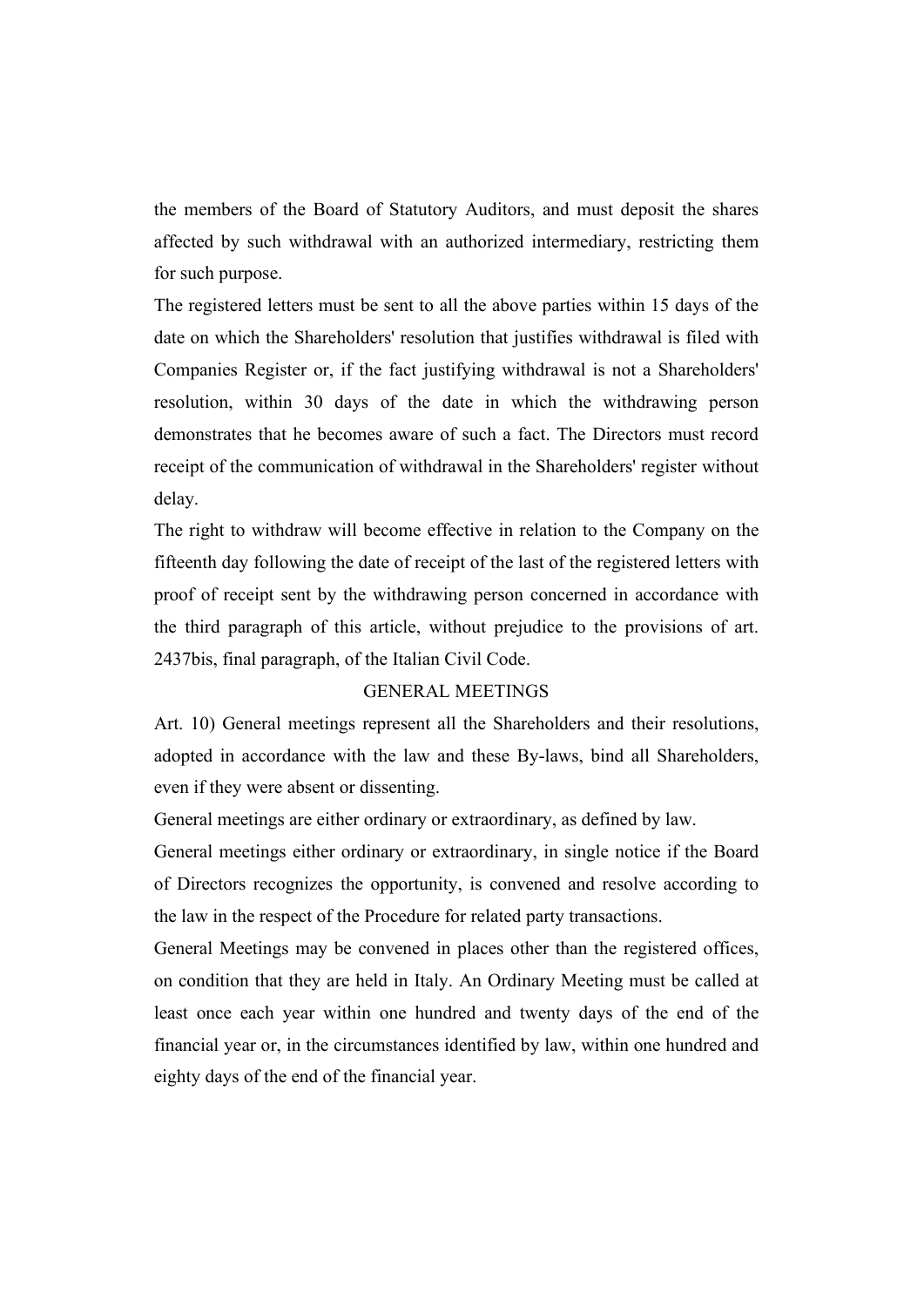the members of the Board of Statutory Auditors, and must deposit the shares affected by such withdrawal with an authorized intermediary, restricting them for such purpose.

The registered letters must be sent to all the above parties within 15 days of the date on which the Shareholders' resolution that justifies withdrawal is filed with Companies Register or, if the fact justifying withdrawal is not a Shareholders' resolution, within 30 days of the date in which the withdrawing person demonstrates that he becomes aware of such a fact. The Directors must record receipt of the communication of withdrawal in the Shareholders' register without delay.

The right to withdraw will become effective in relation to the Company on the fifteenth day following the date of receipt of the last of the registered letters with proof of receipt sent by the withdrawing person concerned in accordance with the third paragraph of this article, without prejudice to the provisions of art. 2437bis, final paragraph, of the Italian Civil Code.

# GENERAL MEETINGS

Art. 10) General meetings represent all the Shareholders and their resolutions, adopted in accordance with the law and these By-laws, bind all Shareholders, even if they were absent or dissenting.

General meetings are either ordinary or extraordinary, as defined by law.

General meetings either ordinary or extraordinary, in single notice if the Board of Directors recognizes the opportunity, is convened and resolve according to the law in the respect of the Procedure for related party transactions.

General Meetings may be convened in places other than the registered offices, on condition that they are held in Italy. An Ordinary Meeting must be called at least once each year within one hundred and twenty days of the end of the financial year or, in the circumstances identified by law, within one hundred and eighty days of the end of the financial year.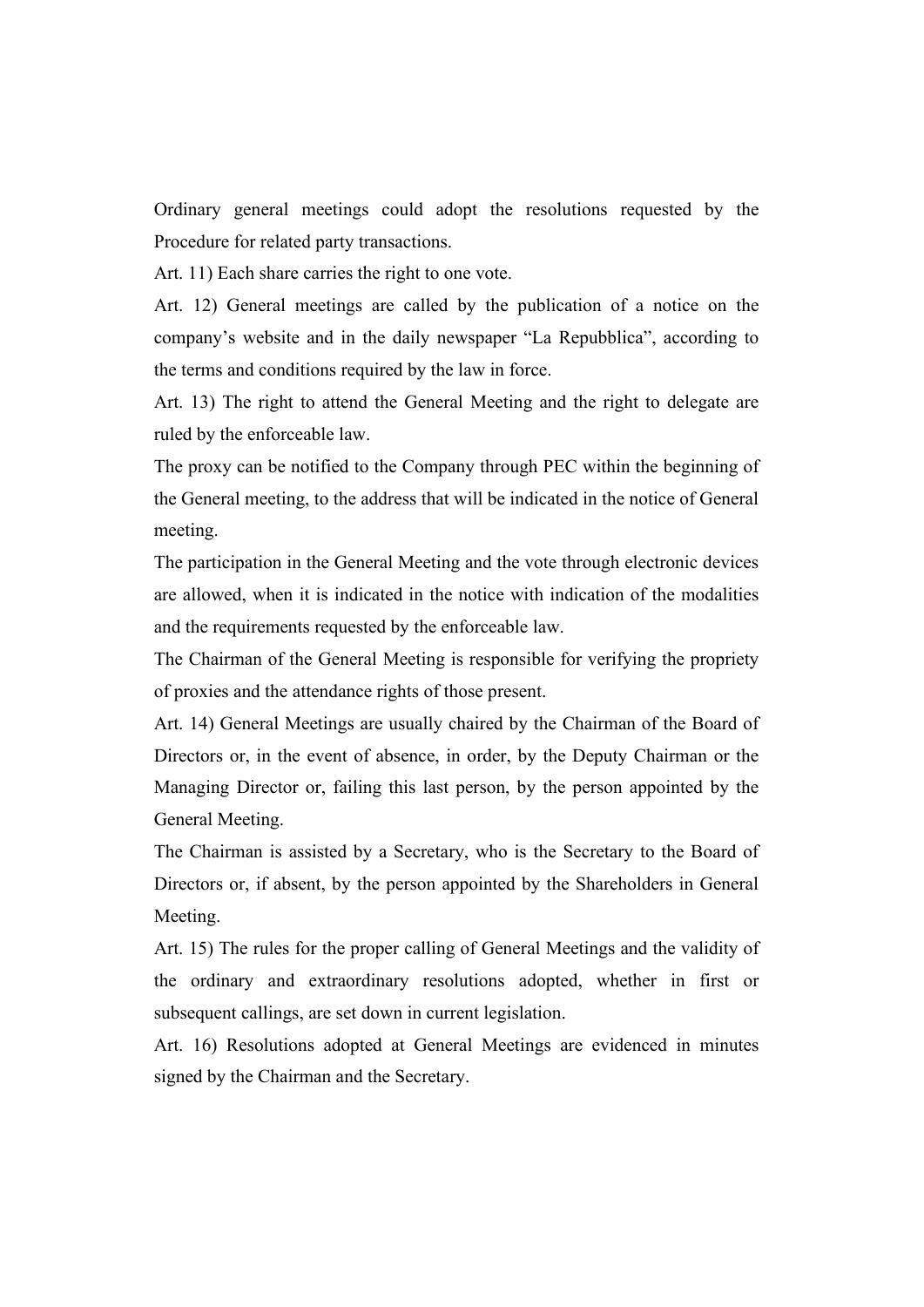Ordinary general meetings could adopt the resolutions requested by the Procedure for related party transactions.

Art. 11) Each share carries the right to one vote.

Art. 12) General meetings are called by the publication of a notice on the company's website and in the daily newspaper "La Repubblica", according to the terms and conditions required by the law in force.

Art. 13) The right to attend the General Meeting and the right to delegate are ruled by the enforceable law.

The proxy can be notified to the Company through PEC within the beginning of the General meeting, to the address that will be indicated in the notice of General meeting.

The participation in the General Meeting and the vote through electronic devices are allowed, when it is indicated in the notice with indication of the modalities and the requirements requested by the enforceable law.

The Chairman of the General Meeting is responsible for verifying the propriety of proxies and the attendance rights of those present.

Art. 14) General Meetings are usually chaired by the Chairman of the Board of Directors or, in the event of absence, in order, by the Deputy Chairman or the Managing Director or, failing this last person, by the person appointed by the General Meeting.

The Chairman is assisted by a Secretary, who is the Secretary to the Board of Directors or, if absent, by the person appointed by the Shareholders in General Meeting.

Art. 15) The rules for the proper calling of General Meetings and the validity of the ordinary and extraordinary resolutions adopted, whether in first or subsequent callings, are set down in current legislation.

Art. 16) Resolutions adopted at General Meetings are evidenced in minutes signed by the Chairman and the Secretary.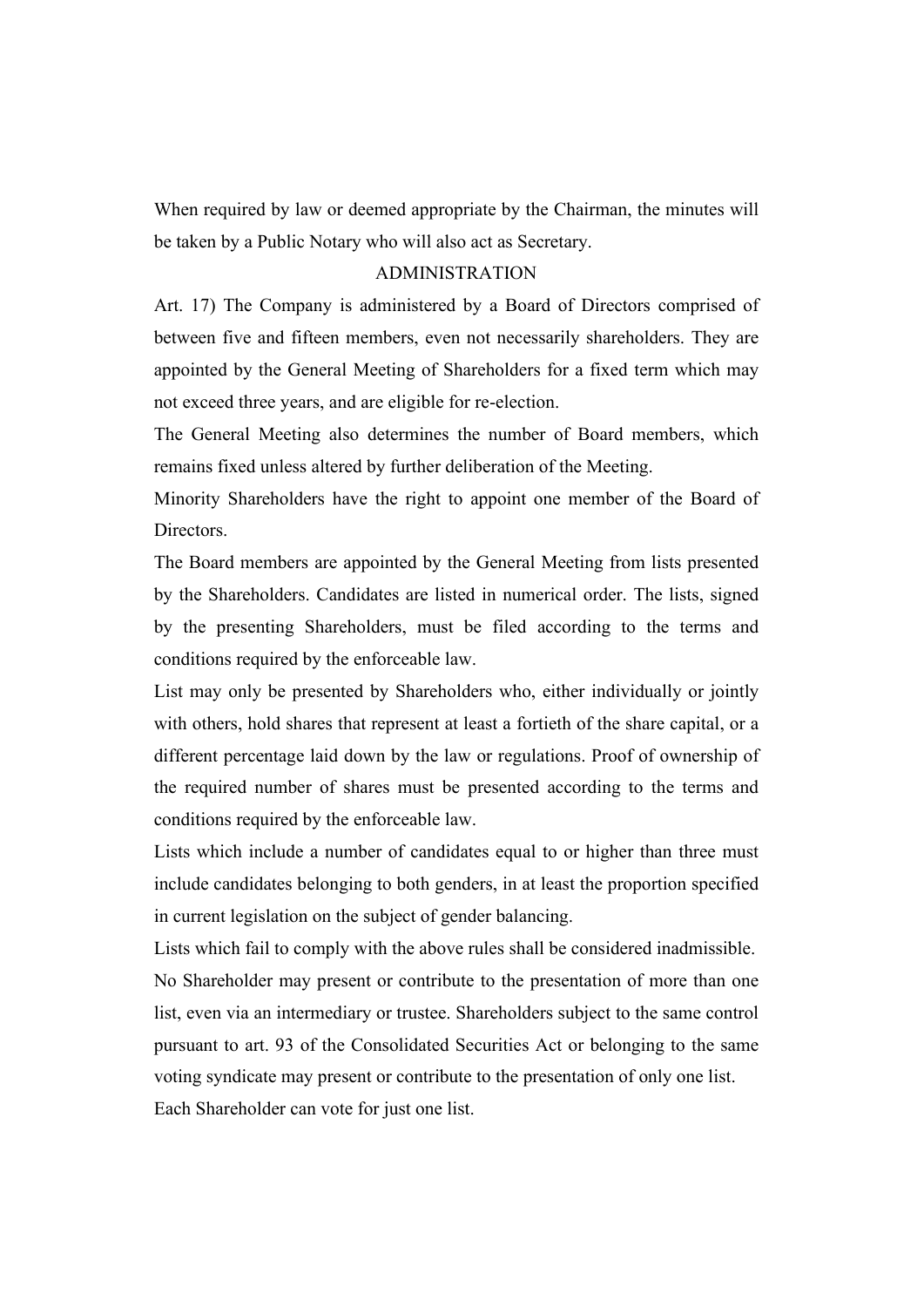When required by law or deemed appropriate by the Chairman, the minutes will be taken by a Public Notary who will also act as Secretary.

## ADMINISTRATION

Art. 17) The Company is administered by a Board of Directors comprised of between five and fifteen members, even not necessarily shareholders. They are appointed by the General Meeting of Shareholders for a fixed term which may not exceed three years, and are eligible for re-election.

The General Meeting also determines the number of Board members, which remains fixed unless altered by further deliberation of the Meeting.

Minority Shareholders have the right to appoint one member of the Board of Directors.

The Board members are appointed by the General Meeting from lists presented by the Shareholders. Candidates are listed in numerical order. The lists, signed by the presenting Shareholders, must be filed according to the terms and conditions required by the enforceable law.

List may only be presented by Shareholders who, either individually or jointly with others, hold shares that represent at least a fortieth of the share capital, or a different percentage laid down by the law or regulations. Proof of ownership of the required number of shares must be presented according to the terms and conditions required by the enforceable law.

Lists which include a number of candidates equal to or higher than three must include candidates belonging to both genders, in at least the proportion specified in current legislation on the subject of gender balancing.

Lists which fail to comply with the above rules shall be considered inadmissible. No Shareholder may present or contribute to the presentation of more than one list, even via an intermediary or trustee. Shareholders subject to the same control pursuant to art. 93 of the Consolidated Securities Act or belonging to the same voting syndicate may present or contribute to the presentation of only one list. Each Shareholder can vote for just one list.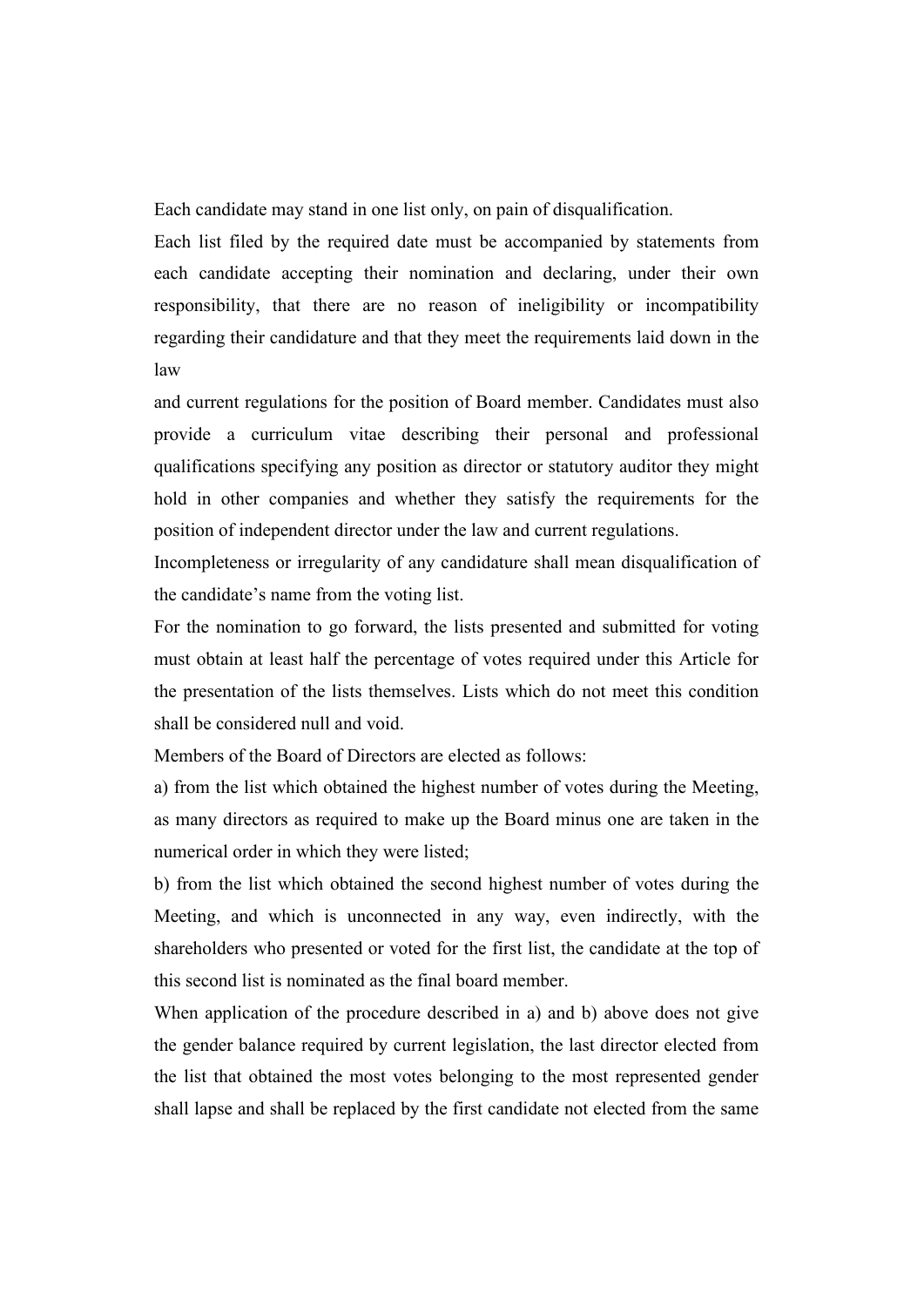Each candidate may stand in one list only, on pain of disqualification.

Each list filed by the required date must be accompanied by statements from each candidate accepting their nomination and declaring, under their own responsibility, that there are no reason of ineligibility or incompatibility regarding their candidature and that they meet the requirements laid down in the law

and current regulations for the position of Board member. Candidates must also provide a curriculum vitae describing their personal and professional qualifications specifying any position as director or statutory auditor they might hold in other companies and whether they satisfy the requirements for the position of independent director under the law and current regulations.

Incompleteness or irregularity of any candidature shall mean disqualification of the candidate's name from the voting list.

For the nomination to go forward, the lists presented and submitted for voting must obtain at least half the percentage of votes required under this Article for the presentation of the lists themselves. Lists which do not meet this condition shall be considered null and void.

Members of the Board of Directors are elected as follows:

a) from the list which obtained the highest number of votes during the Meeting, as many directors as required to make up the Board minus one are taken in the numerical order in which they were listed;

b) from the list which obtained the second highest number of votes during the Meeting, and which is unconnected in any way, even indirectly, with the shareholders who presented or voted for the first list, the candidate at the top of this second list is nominated as the final board member.

When application of the procedure described in a) and b) above does not give the gender balance required by current legislation, the last director elected from the list that obtained the most votes belonging to the most represented gender shall lapse and shall be replaced by the first candidate not elected from the same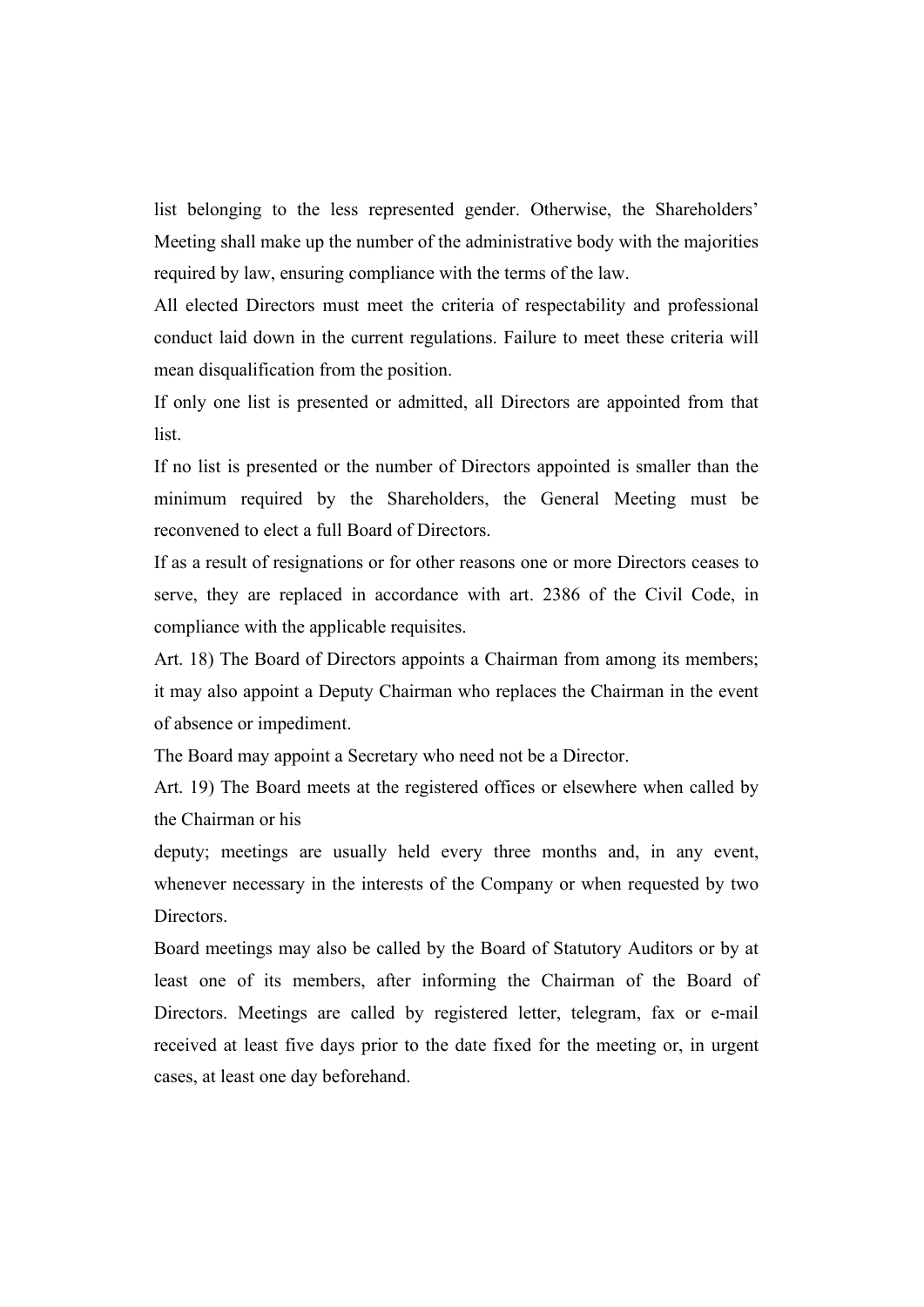list belonging to the less represented gender. Otherwise, the Shareholders' Meeting shall make up the number of the administrative body with the majorities required by law, ensuring compliance with the terms of the law.

All elected Directors must meet the criteria of respectability and professional conduct laid down in the current regulations. Failure to meet these criteria will mean disqualification from the position.

If only one list is presented or admitted, all Directors are appointed from that list.

If no list is presented or the number of Directors appointed is smaller than the minimum required by the Shareholders, the General Meeting must be reconvened to elect a full Board of Directors.

If as a result of resignations or for other reasons one or more Directors ceases to serve, they are replaced in accordance with art. 2386 of the Civil Code, in compliance with the applicable requisites.

Art. 18) The Board of Directors appoints a Chairman from among its members; it may also appoint a Deputy Chairman who replaces the Chairman in the event of absence or impediment.

The Board may appoint a Secretary who need not be a Director.

Art. 19) The Board meets at the registered offices or elsewhere when called by the Chairman or his

deputy; meetings are usually held every three months and, in any event, whenever necessary in the interests of the Company or when requested by two **Directors** 

Board meetings may also be called by the Board of Statutory Auditors or by at least one of its members, after informing the Chairman of the Board of Directors. Meetings are called by registered letter, telegram, fax or e-mail received at least five days prior to the date fixed for the meeting or, in urgent cases, at least one day beforehand.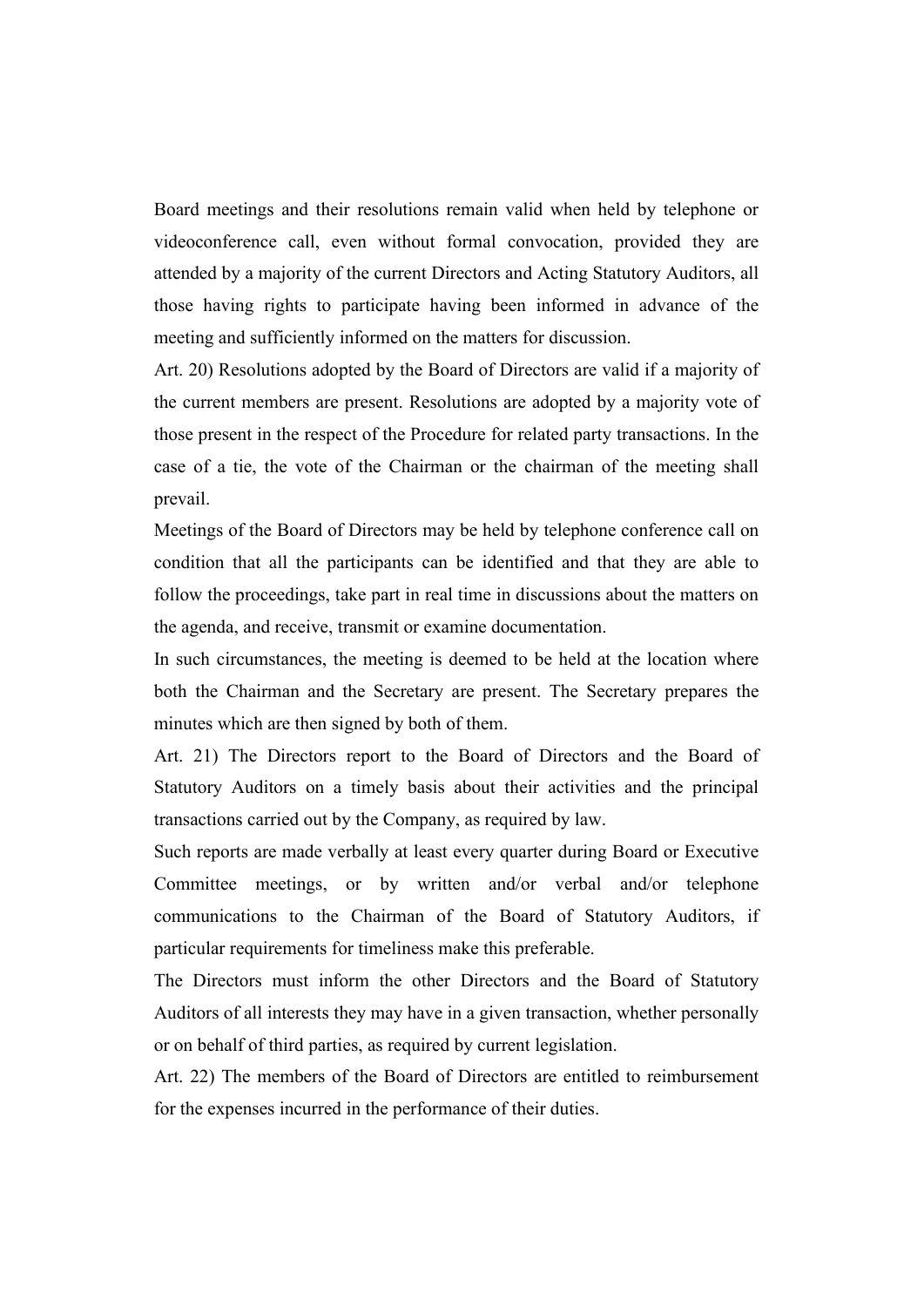Board meetings and their resolutions remain valid when held by telephone or videoconference call, even without formal convocation, provided they are attended by a majority of the current Directors and Acting Statutory Auditors, all those having rights to participate having been informed in advance of the meeting and sufficiently informed on the matters for discussion.

Art. 20) Resolutions adopted by the Board of Directors are valid if a majority of the current members are present. Resolutions are adopted by a majority vote of those present in the respect of the Procedure for related party transactions. In the case of a tie, the vote of the Chairman or the chairman of the meeting shall prevail.

Meetings of the Board of Directors may be held by telephone conference call on condition that all the participants can be identified and that they are able to follow the proceedings, take part in real time in discussions about the matters on the agenda, and receive, transmit or examine documentation.

In such circumstances, the meeting is deemed to be held at the location where both the Chairman and the Secretary are present. The Secretary prepares the minutes which are then signed by both of them.

Art. 21) The Directors report to the Board of Directors and the Board of Statutory Auditors on a timely basis about their activities and the principal transactions carried out by the Company, as required by law.

Such reports are made verbally at least every quarter during Board or Executive Committee meetings, or by written and/or verbal and/or telephone communications to the Chairman of the Board of Statutory Auditors, if particular requirements for timeliness make this preferable.

The Directors must inform the other Directors and the Board of Statutory Auditors of all interests they may have in a given transaction, whether personally or on behalf of third parties, as required by current legislation.

Art. 22) The members of the Board of Directors are entitled to reimbursement for the expenses incurred in the performance of their duties.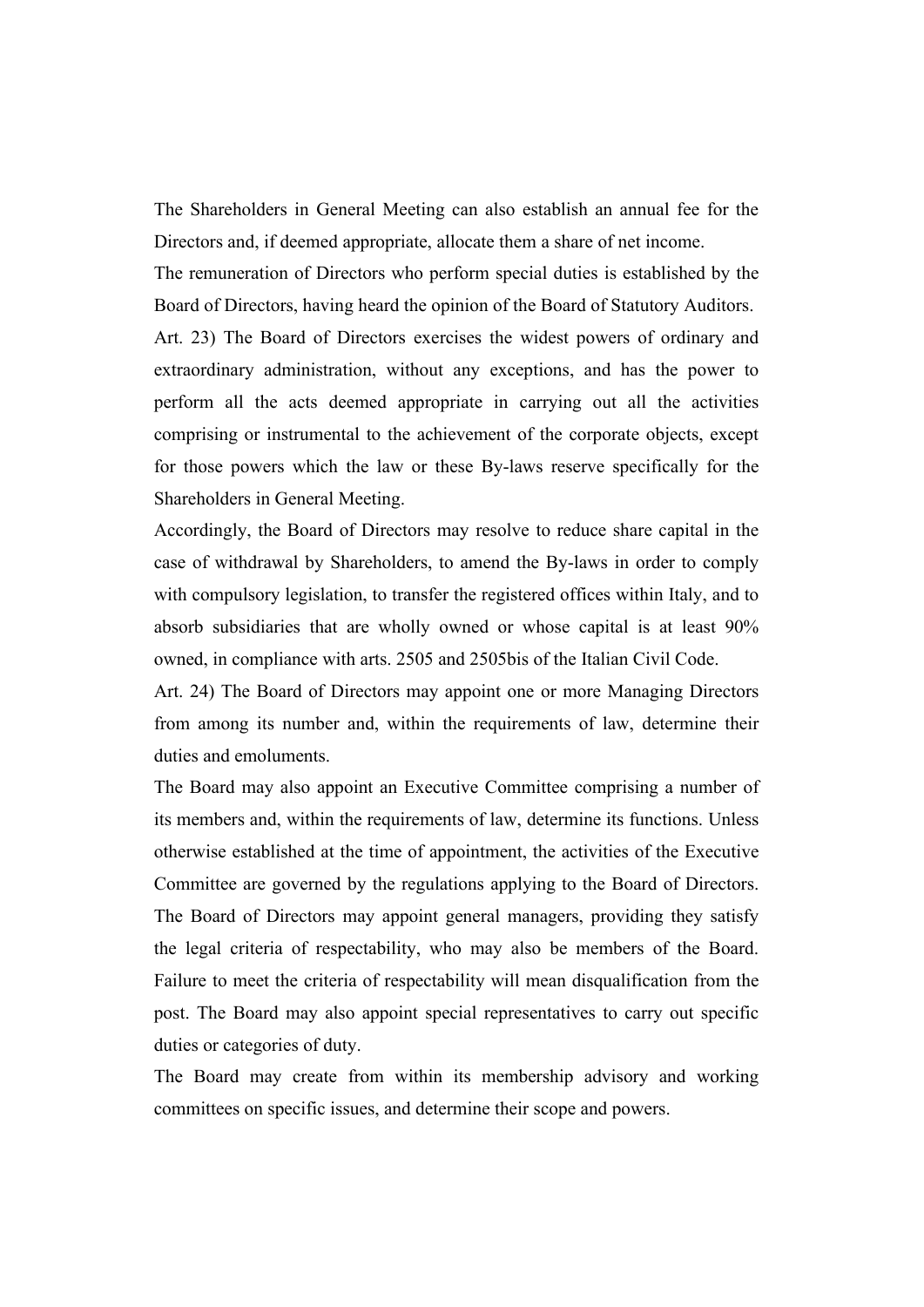The Shareholders in General Meeting can also establish an annual fee for the Directors and, if deemed appropriate, allocate them a share of net income.

The remuneration of Directors who perform special duties is established by the Board of Directors, having heard the opinion of the Board of Statutory Auditors.

Art. 23) The Board of Directors exercises the widest powers of ordinary and extraordinary administration, without any exceptions, and has the power to perform all the acts deemed appropriate in carrying out all the activities comprising or instrumental to the achievement of the corporate objects, except for those powers which the law or these By-laws reserve specifically for the Shareholders in General Meeting.

Accordingly, the Board of Directors may resolve to reduce share capital in the case of withdrawal by Shareholders, to amend the By-laws in order to comply with compulsory legislation, to transfer the registered offices within Italy, and to absorb subsidiaries that are wholly owned or whose capital is at least 90% owned, in compliance with arts. 2505 and 2505bis of the Italian Civil Code.

Art. 24) The Board of Directors may appoint one or more Managing Directors from among its number and, within the requirements of law, determine their duties and emoluments.

The Board may also appoint an Executive Committee comprising a number of its members and, within the requirements of law, determine its functions. Unless otherwise established at the time of appointment, the activities of the Executive Committee are governed by the regulations applying to the Board of Directors. The Board of Directors may appoint general managers, providing they satisfy the legal criteria of respectability, who may also be members of the Board. Failure to meet the criteria of respectability will mean disqualification from the post. The Board may also appoint special representatives to carry out specific duties or categories of duty.

The Board may create from within its membership advisory and working committees on specific issues, and determine their scope and powers.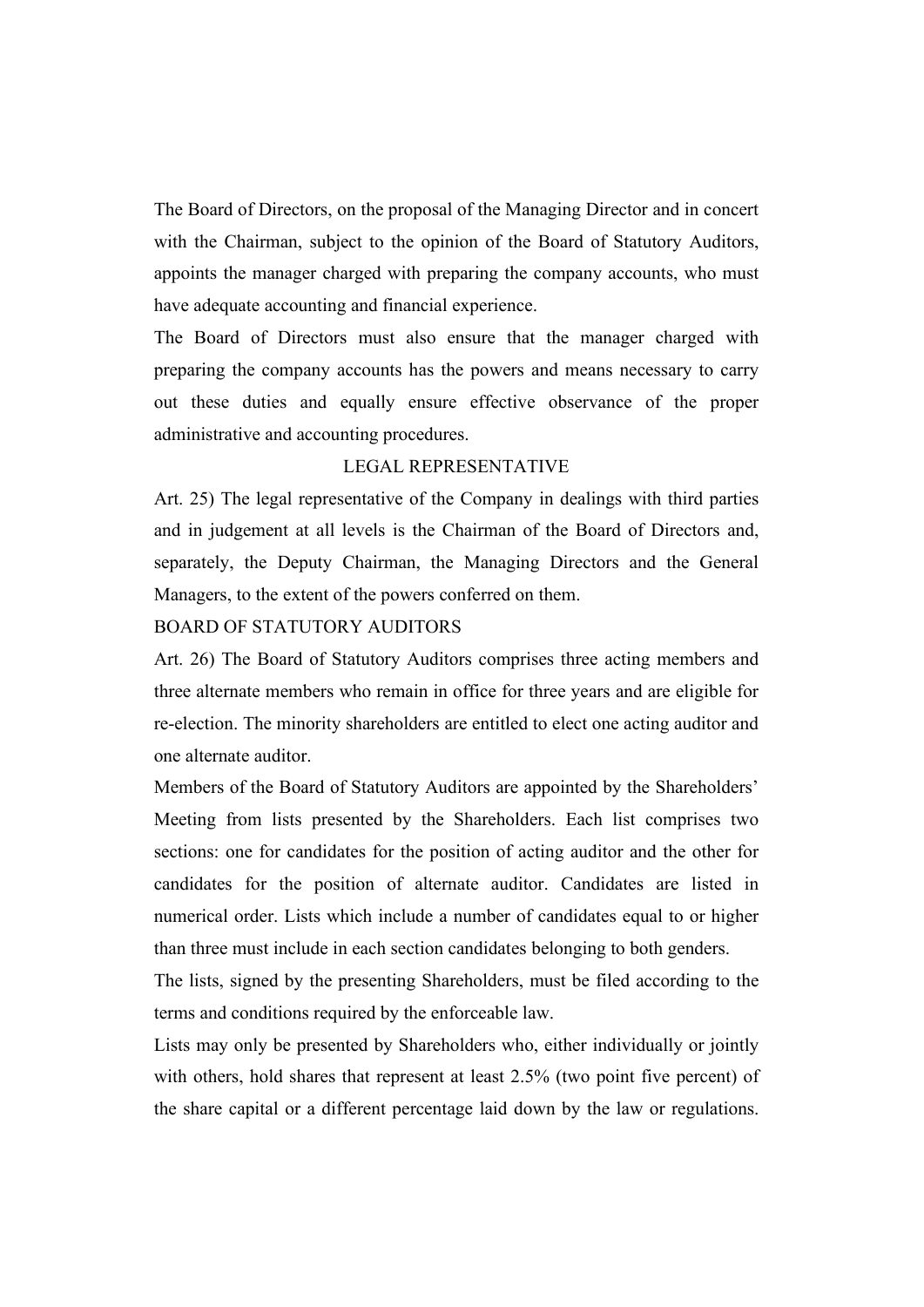The Board of Directors, on the proposal of the Managing Director and in concert with the Chairman, subject to the opinion of the Board of Statutory Auditors, appoints the manager charged with preparing the company accounts, who must have adequate accounting and financial experience.

The Board of Directors must also ensure that the manager charged with preparing the company accounts has the powers and means necessary to carry out these duties and equally ensure effective observance of the proper administrative and accounting procedures.

## LEGAL REPRESENTATIVE

Art. 25) The legal representative of the Company in dealings with third parties and in judgement at all levels is the Chairman of the Board of Directors and, separately, the Deputy Chairman, the Managing Directors and the General Managers, to the extent of the powers conferred on them.

## BOARD OF STATUTORY AUDITORS

Art. 26) The Board of Statutory Auditors comprises three acting members and three alternate members who remain in office for three years and are eligible for re-election. The minority shareholders are entitled to elect one acting auditor and one alternate auditor.

Members of the Board of Statutory Auditors are appointed by the Shareholders' Meeting from lists presented by the Shareholders. Each list comprises two sections: one for candidates for the position of acting auditor and the other for candidates for the position of alternate auditor. Candidates are listed in numerical order. Lists which include a number of candidates equal to or higher than three must include in each section candidates belonging to both genders.

The lists, signed by the presenting Shareholders, must be filed according to the terms and conditions required by the enforceable law.

Lists may only be presented by Shareholders who, either individually or jointly with others, hold shares that represent at least 2.5% (two point five percent) of the share capital or a different percentage laid down by the law or regulations.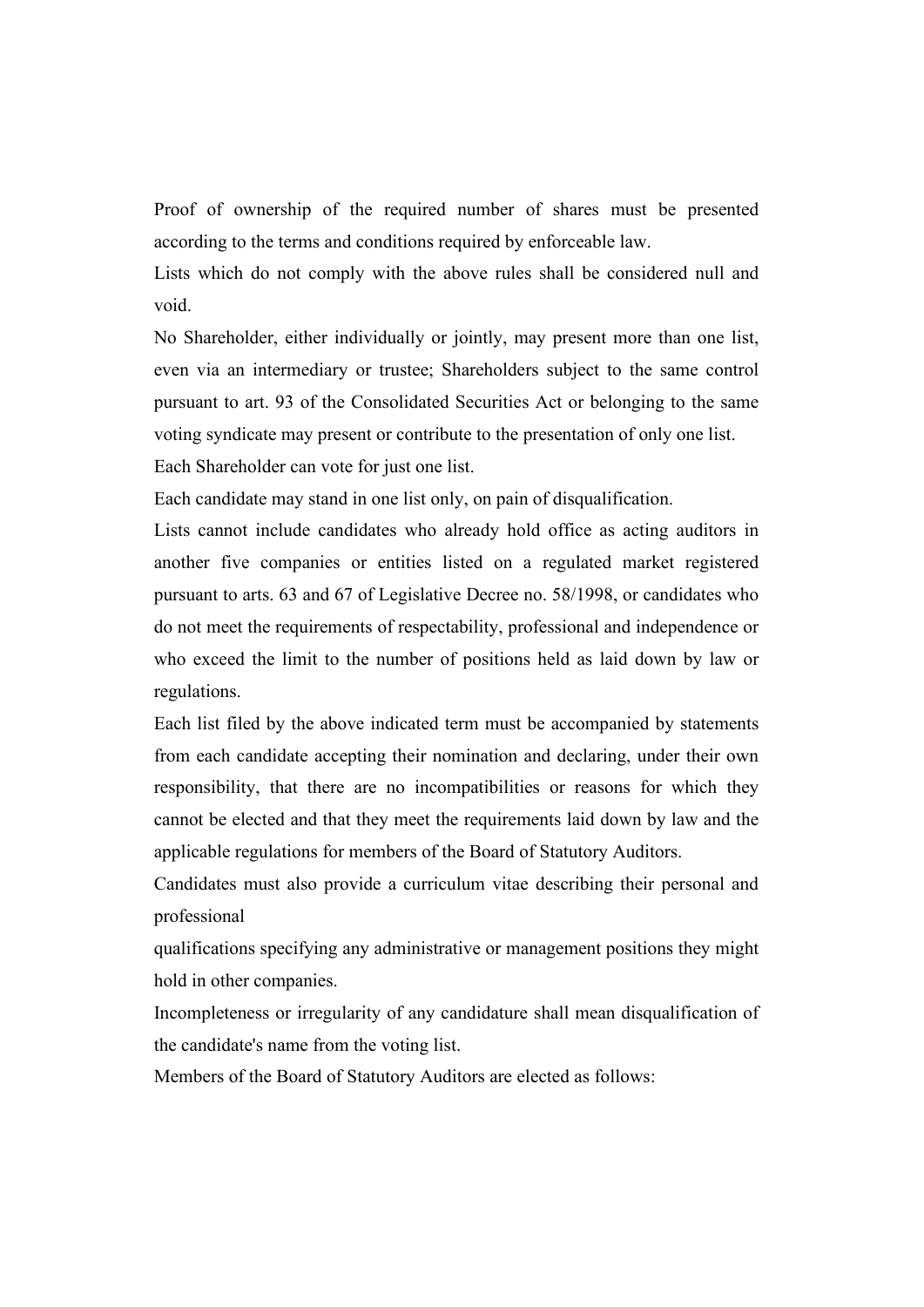Proof of ownership of the required number of shares must be presented according to the terms and conditions required by enforceable law.

Lists which do not comply with the above rules shall be considered null and void.

No Shareholder, either individually or jointly, may present more than one list, even via an intermediary or trustee; Shareholders subject to the same control pursuant to art. 93 of the Consolidated Securities Act or belonging to the same voting syndicate may present or contribute to the presentation of only one list. Each Shareholder can vote for just one list.

Each candidate may stand in one list only, on pain of disqualification.

Lists cannot include candidates who already hold office as acting auditors in another five companies or entities listed on a regulated market registered pursuant to arts. 63 and 67 of Legislative Decree no. 58/1998, or candidates who do not meet the requirements of respectability, professional and independence or who exceed the limit to the number of positions held as laid down by law or regulations.

Each list filed by the above indicated term must be accompanied by statements from each candidate accepting their nomination and declaring, under their own responsibility, that there are no incompatibilities or reasons for which they cannot be elected and that they meet the requirements laid down by law and the applicable regulations for members of the Board of Statutory Auditors.

Candidates must also provide a curriculum vitae describing their personal and professional

qualifications specifying any administrative or management positions they might hold in other companies.

Incompleteness or irregularity of any candidature shall mean disqualification of the candidate's name from the voting list.

Members of the Board of Statutory Auditors are elected as follows: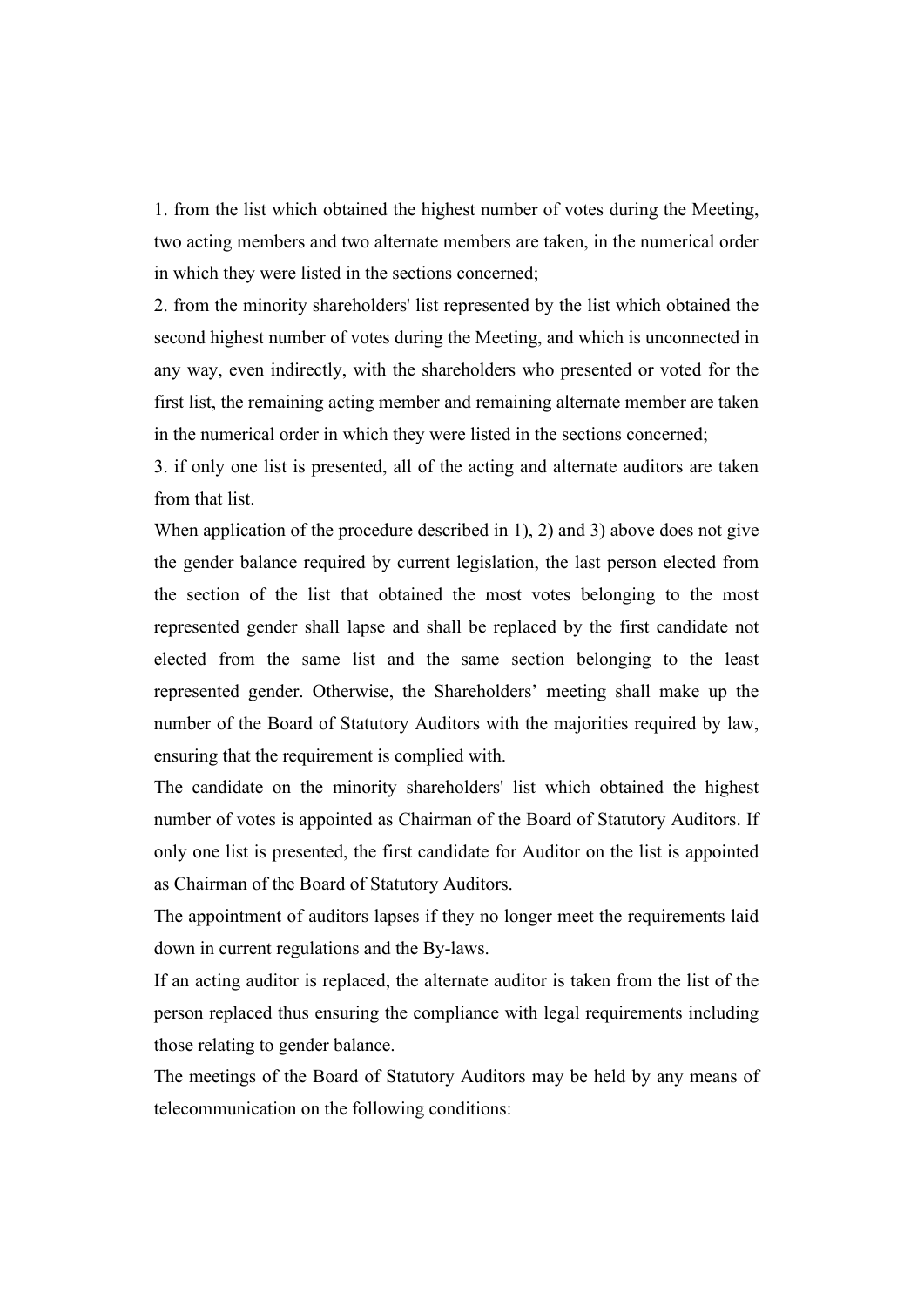1. from the list which obtained the highest number of votes during the Meeting, two acting members and two alternate members are taken, in the numerical order in which they were listed in the sections concerned;

2. from the minority shareholders' list represented by the list which obtained the second highest number of votes during the Meeting, and which is unconnected in any way, even indirectly, with the shareholders who presented or voted for the first list, the remaining acting member and remaining alternate member are taken in the numerical order in which they were listed in the sections concerned;

3. if only one list is presented, all of the acting and alternate auditors are taken from that list.

When application of the procedure described in 1), 2) and 3) above does not give the gender balance required by current legislation, the last person elected from the section of the list that obtained the most votes belonging to the most represented gender shall lapse and shall be replaced by the first candidate not elected from the same list and the same section belonging to the least represented gender. Otherwise, the Shareholders' meeting shall make up the number of the Board of Statutory Auditors with the majorities required by law, ensuring that the requirement is complied with.

The candidate on the minority shareholders' list which obtained the highest number of votes is appointed as Chairman of the Board of Statutory Auditors. If only one list is presented, the first candidate for Auditor on the list is appointed as Chairman of the Board of Statutory Auditors.

The appointment of auditors lapses if they no longer meet the requirements laid down in current regulations and the By-laws.

If an acting auditor is replaced, the alternate auditor is taken from the list of the person replaced thus ensuring the compliance with legal requirements including those relating to gender balance.

The meetings of the Board of Statutory Auditors may be held by any means of telecommunication on the following conditions: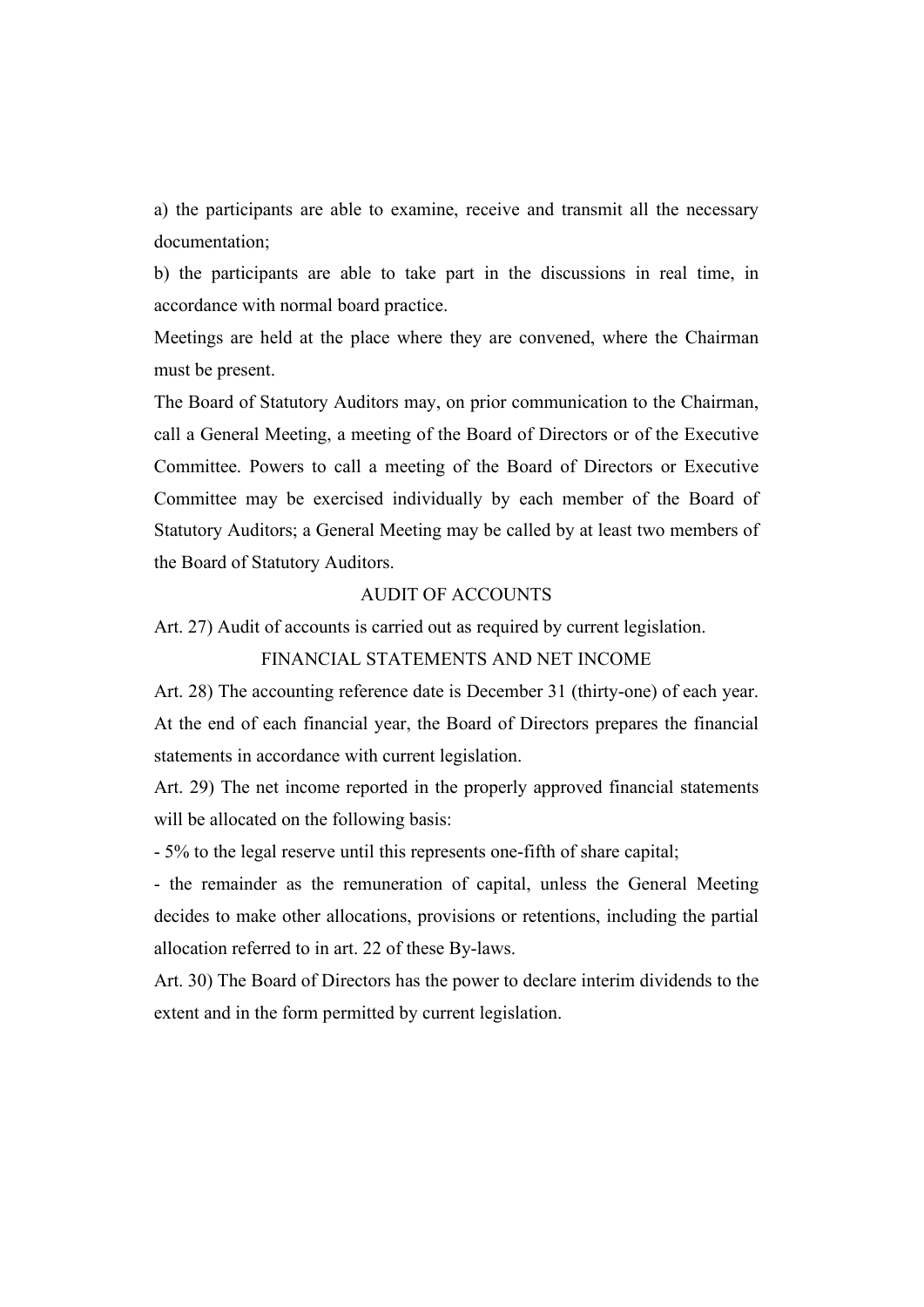a) the participants are able to examine, receive and transmit all the necessary documentation;

b) the participants are able to take part in the discussions in real time, in accordance with normal board practice.

Meetings are held at the place where they are convened, where the Chairman must be present.

The Board of Statutory Auditors may, on prior communication to the Chairman, call a General Meeting, a meeting of the Board of Directors or of the Executive Committee. Powers to call a meeting of the Board of Directors or Executive Committee may be exercised individually by each member of the Board of Statutory Auditors; a General Meeting may be called by at least two members of the Board of Statutory Auditors.

## AUDIT OF ACCOUNTS

Art. 27) Audit of accounts is carried out as required by current legislation.

## FINANCIAL STATEMENTS AND NET INCOME

Art. 28) The accounting reference date is December 31 (thirty-one) of each year. At the end of each financial year, the Board of Directors prepares the financial statements in accordance with current legislation.

Art. 29) The net income reported in the properly approved financial statements will be allocated on the following basis:

- 5% to the legal reserve until this represents one-fifth of share capital;

- the remainder as the remuneration of capital, unless the General Meeting decides to make other allocations, provisions or retentions, including the partial allocation referred to in art. 22 of these By-laws.

Art. 30) The Board of Directors has the power to declare interim dividends to the extent and in the form permitted by current legislation.